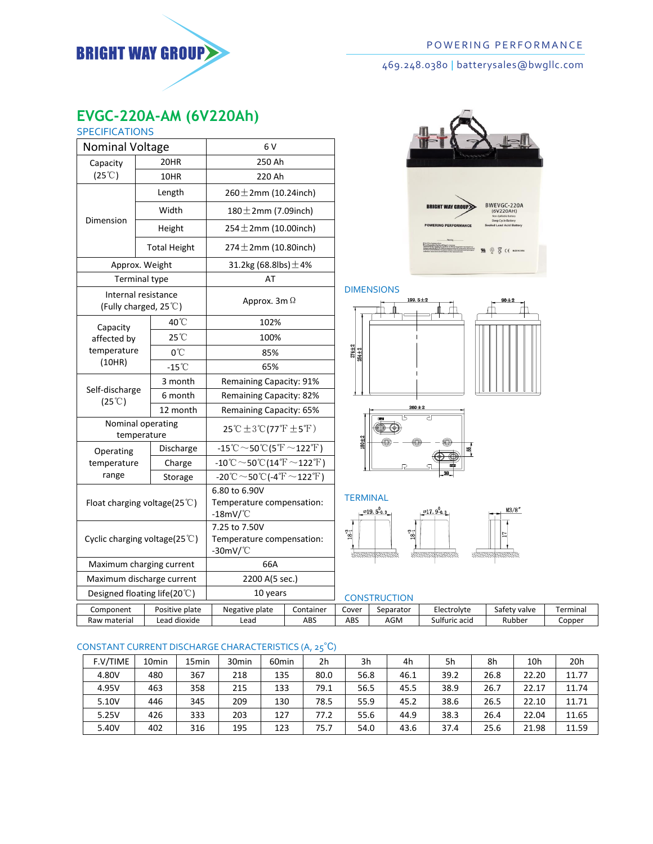

# 469.248.0380 | batterysales@bwgllc.com

# **EVGC-220A-AM (6V220Ah)**

| <b>SPECIFICATIONS</b>                        |        |                     |                                                                                                                                      |            |  |  |  |
|----------------------------------------------|--------|---------------------|--------------------------------------------------------------------------------------------------------------------------------------|------------|--|--|--|
| <b>Nominal Voltage</b>                       |        |                     | 6 V                                                                                                                                  |            |  |  |  |
| Capacity                                     |        | 20HR                | 250 Ah                                                                                                                               |            |  |  |  |
| $(25^{\circ}C)$                              |        | 10HR                | 220 Ah                                                                                                                               |            |  |  |  |
|                                              |        | Length              | $260 \pm 2$ mm (10.24inch)                                                                                                           |            |  |  |  |
|                                              |        | Width               | $180 \pm 2$ mm (7.09inch)                                                                                                            |            |  |  |  |
| Dimension                                    |        | Height              | $254 \pm 2$ mm (10.00inch)                                                                                                           |            |  |  |  |
|                                              |        | <b>Total Height</b> | $274 \pm 2$ mm (10.80inch)                                                                                                           |            |  |  |  |
| Approx. Weight                               |        |                     | 31.2kg (68.8lbs) $\pm$ 4%                                                                                                            |            |  |  |  |
| <b>Terminal type</b>                         |        |                     | AT                                                                                                                                   |            |  |  |  |
| Internal resistance<br>(Fully charged, 25°C) |        |                     | Approx. 3m $\Omega$                                                                                                                  |            |  |  |  |
| Capacity                                     |        | 40°C                | 102%                                                                                                                                 |            |  |  |  |
| affected by                                  | 25°C   |                     | 100%                                                                                                                                 |            |  |  |  |
| temperature                                  |        | 0°C                 | 85%                                                                                                                                  |            |  |  |  |
|                                              | (10HR) |                     | 65%                                                                                                                                  |            |  |  |  |
| Self-discharge<br>$(25^{\circ}C)$            |        | 3 month             | Remaining Capacity: 91%                                                                                                              |            |  |  |  |
|                                              |        | 6 month             | Remaining Capacity: 82%                                                                                                              |            |  |  |  |
|                                              |        | 12 month            | Remaining Capacity: 65%                                                                                                              |            |  |  |  |
| Nominal operating<br>temperature             |        |                     | 25 °C ± 3 °C (77 °F ± 5 °F)                                                                                                          |            |  |  |  |
| Operating                                    |        | Discharge           | $-15\degree C \sim 50\degree C(5\degree F \sim 122\degree F)$                                                                        |            |  |  |  |
| temperature                                  |        | Charge              | $-10^{\circ}\text{C} \sim 50^{\circ}\text{C} (14^{\circ}\text{F} \sim 122^{\circ}\text{F})$                                          |            |  |  |  |
| range                                        |        | Storage             | $\overline{\text{--}20}^{\circ}\text{C}\!\sim\!\text{50}^{\circ}\text{C}$ (-4 $^{\circ}\text{F}\!\sim\!\text{122}^{\circ}\text{F}$ ) |            |  |  |  |
| Float charging voltage(25 $°C$ )             |        |                     | 6.80 to 6.90V<br>Temperature compensation:<br>-18mV/°C                                                                               |            |  |  |  |
| Cyclic charging voltage(25°C)                |        |                     | 7.25 to 7.50V<br>Temperature compensation:<br>$-30$ mV/ $^{\circ}$ C                                                                 |            |  |  |  |
| Maximum charging current                     |        |                     | 66A                                                                                                                                  |            |  |  |  |
| Maximum discharge current                    |        |                     | 2200 A(5 sec.)                                                                                                                       |            |  |  |  |
| Designed floating life(20°C)                 |        |                     | 10 years                                                                                                                             |            |  |  |  |
| Component                                    |        | Positive plate      | Negative plate                                                                                                                       | Container  |  |  |  |
| Raw material                                 |        | Lead diovide        | امحما                                                                                                                                | <b>ARS</b> |  |  |  |



## DIMENSIONS



#### **TERMINAL**



| Designed floating life(20 $\circ$ ) |              | 10 vears       | <b>ON</b>      |           |       |           |               |              |          |
|-------------------------------------|--------------|----------------|----------------|-----------|-------|-----------|---------------|--------------|----------|
|                                     | Component    | Positive plate | Negative plate | Container | Cover | separator | Electrolvte   | Safety valve | Terminal |
|                                     | Raw material | Lead dioxide   | -ead           | ABS       | ABS   | AGM       | sulfuric acid | Rubber       | Copper   |
|                                     |              |                |                |           |       |           |               |              |          |

## CONSTANT CURRENT DISCHARGE CHARACTERISTICS (A, 25℃)

| F.V/TIME | 10 <sub>min</sub> | 15min | 30 <sub>min</sub> | 60 <sub>min</sub> | 2h   | 3h   | 4h   | 5h   | 8h   | 10 <sub>h</sub> | 20h   |
|----------|-------------------|-------|-------------------|-------------------|------|------|------|------|------|-----------------|-------|
| 4.80V    | 480               | 367   | 218               | 135               | 80.0 | 56.8 | 46.1 | 39.2 | 26.8 | 22.20           | 11.77 |
| 4.95V    | 463               | 358   | 215               | 133               | 79.1 | 56.5 | 45.5 | 38.9 | 26.7 | 22.17           | 11.74 |
| 5.10V    | 446               | 345   | 209               | 130               | 78.5 | 55.9 | 45.2 | 38.6 | 26.5 | 22.10           | 11.71 |
| 5.25V    | 426               | 333   | 203               | 127               | 77.2 | 55.6 | 44.9 | 38.3 | 26.4 | 22.04           | 11.65 |
| 5.40V    | 402               | 316   | 195               | 123               | 75.7 | 54.0 | 43.6 | 37.4 | 25.6 | 21.98           | 11.59 |